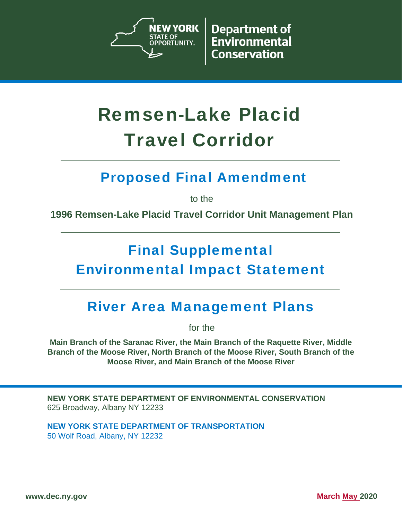

**Department of** Environmental **Conservation** 

# Remsen-Lake Placid Travel Corridor

### Proposed Final Amendment

to the

**1996 Remsen-Lake Placid Travel Corridor Unit Management Plan** 

## Final Supplemental Environmental Impact Statement

### River Area Management Plans

for the

**Main Branch of the Saranac River, the Main Branch of the Raquette River, Middle Branch of the Moose River, North Branch of the Moose River, South Branch of the Moose River, and Main Branch of the Moose River** 

**NEW YORK STATE DEPARTMENT OF ENVIRONMENTAL CONSERVATION** 625 Broadway, Albany NY 12233

**NEW YORK STATE DEPARTMENT OF TRANSPORTATION**  50 Wolf Road, Albany, NY 12232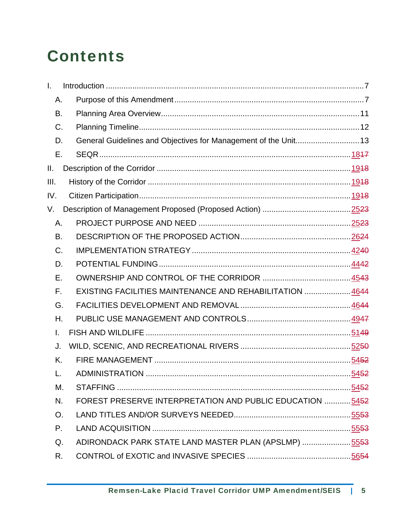# **Contents**

| I.   |                                                                 |  |
|------|-----------------------------------------------------------------|--|
| Α.   |                                                                 |  |
| В.   |                                                                 |  |
| C.   |                                                                 |  |
| D.   | General Guidelines and Objectives for Management of the Unit 13 |  |
| Е.   |                                                                 |  |
| Ш.   |                                                                 |  |
| III. |                                                                 |  |
| IV.  |                                                                 |  |
| V.   |                                                                 |  |
| Α.   |                                                                 |  |
| В.   |                                                                 |  |
| C.   |                                                                 |  |
| D.   |                                                                 |  |
| Е.   |                                                                 |  |
| F.   | EXISTING FACILITIES MAINTENANCE AND REHABILITATION  4644        |  |
| G.   |                                                                 |  |
| Η.   |                                                                 |  |
| I.   |                                                                 |  |
| J.   |                                                                 |  |
| K.   |                                                                 |  |
| L.   |                                                                 |  |
| М.   |                                                                 |  |
| N.   | FOREST PRESERVE INTERPRETATION AND PUBLIC EDUCATION  5452       |  |
| O.   |                                                                 |  |
| Ρ.   |                                                                 |  |
| Q.   | ADIRONDACK PARK STATE LAND MASTER PLAN (APSLMP) 5553            |  |
| R.   |                                                                 |  |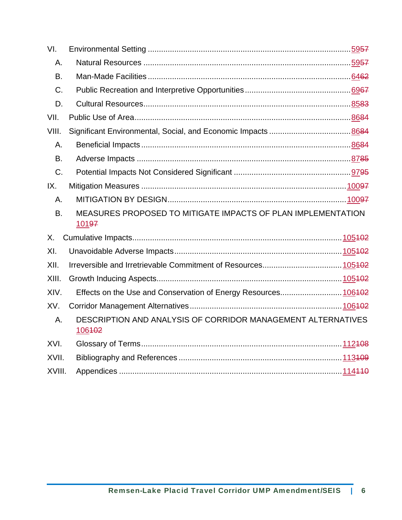| VI.       |                                                                        |  |
|-----------|------------------------------------------------------------------------|--|
| Α.        |                                                                        |  |
| B.        |                                                                        |  |
| C.        |                                                                        |  |
| D.        |                                                                        |  |
| VII.      |                                                                        |  |
| VIII.     |                                                                        |  |
| А.        |                                                                        |  |
| <b>B.</b> |                                                                        |  |
| C.        |                                                                        |  |
| IX.       |                                                                        |  |
| Α.        |                                                                        |  |
|           |                                                                        |  |
| B.        | MEASURES PROPOSED TO MITIGATE IMPACTS OF PLAN IMPLEMENTATION<br>10197  |  |
| Х.        |                                                                        |  |
| XI.       |                                                                        |  |
| XII.      |                                                                        |  |
| XIII.     |                                                                        |  |
| XIV.      | Effects on the Use and Conservation of Energy Resources106402          |  |
| XV.       |                                                                        |  |
| А.        | DESCRIPTION AND ANALYSIS OF CORRIDOR MANAGEMENT ALTERNATIVES<br>106402 |  |
| XVI.      |                                                                        |  |
| XVII.     |                                                                        |  |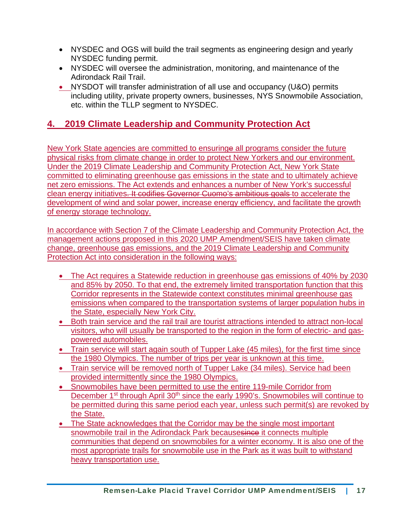- NYSDEC and OGS will build the trail segments as engineering design and yearly NYSDEC funding permit.
- NYSDEC will oversee the administration, monitoring, and maintenance of the Adirondack Rail Trail.
- NYSDOT will transfer administration of all use and occupancy (U&O) permits including utility, private property owners, businesses, NYS Snowmobile Association, etc. within the TLLP segment to NYSDEC.

### **4. 2019 Climate Leadership and Community Protection Act**

New York State agencies are committed to ensuringe all programs consider the future physical risks from climate change in order to protect New Yorkers and our environment. Under the 2019 Climate Leadership and Community Protection Act, New York State committed to eliminating greenhouse gas emissions in the state and to ultimately achieve net zero emissions. The Act extends and enhances a number of New York's successful clean energy initiatives. It codifies Governor Cuomo's ambitious goals to accelerate the development of wind and solar power, increase energy efficiency, and facilitate the growth of energy storage technology.

In accordance with Section 7 of the Climate Leadership and Community Protection Act, the management actions proposed in this 2020 UMP Amendment/SEIS have taken climate change, greenhouse gas emissions, and the 2019 Climate Leadership and Community Protection Act into consideration in the following ways:

- The Act requires a Statewide reduction in greenhouse gas emissions of 40% by 2030 and 85% by 2050. To that end, the extremely limited transportation function that this Corridor represents in the Statewide context constitutes minimal greenhouse gas emissions when compared to the transportation systems of larger population hubs in the State, especially New York City.
- Both train service and the rail trail are tourist attractions intended to attract non-local visitors, who will usually be transported to the region in the form of electric- and gaspowered automobiles.
- Train service will start again south of Tupper Lake (45 miles), for the first time since the 1980 Olympics. The number of trips per year is unknown at this time.
- Train service will be removed north of Tupper Lake (34 miles). Service had been provided intermittently since the 1980 Olympics.
- Snowmobiles have been permitted to use the entire 119-mile Corridor from December 1<sup>st</sup> through April 30<sup>th</sup> since the early 1990's. Snowmobiles will continue to be permitted during this same period each year, unless such permit(s) are revoked by the State.
- The State acknowledges that the Corridor may be the single most important snowmobile trail in the Adirondack Park becausesince it connects multiple communities that depend on snowmobiles for a winter economy. It is also one of the most appropriate trails for snowmobile use in the Park as it was built to withstand heavy transportation use.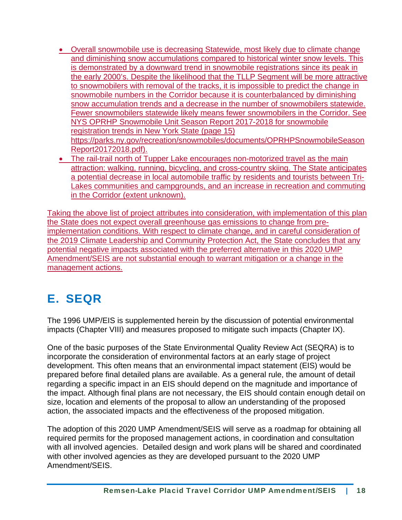- Overall snowmobile use is decreasing Statewide, most likely due to climate change and diminishing snow accumulations compared to historical winter snow levels. This is demonstrated by a downward trend in snowmobile registrations since its peak in the early 2000's. Despite the likelihood that the TLLP Segment will be more attractive to snowmobilers with removal of the tracks, it is impossible to predict the change in snowmobile numbers in the Corridor because it is counterbalanced by diminishing snow accumulation trends and a decrease in the number of snowmobilers statewide. Fewer snowmobilers statewide likely means fewer snowmobilers in the Corridor. See NYS OPRHP Snowmobile Unit Season Report 2017-2018 for snowmobile registration trends in New York State (page 15) https://parks.ny.gov/recreation/snowmobiles/documents/OPRHPSnowmobileSeason Report20172018.pdf).
- The rail-trail north of Tupper Lake encourages non-motorized travel as the main attraction: walking, running, bicycling, and cross-country skiing. The State anticipates a potential decrease in local automobile traffic by residents and tourists between Tri-Lakes communities and campgrounds, and an increase in recreation and commuting in the Corridor (extent unknown).

Taking the above list of project attributes into consideration, with implementation of this plan the State does not expect overall greenhouse gas emissions to change from preimplementation conditions. With respect to climate change, and in careful consideration of the 2019 Climate Leadership and Community Protection Act, the State concludes that any potential negative impacts associated with the preferred alternative in this 2020 UMP Amendment/SEIS are not substantial enough to warrant mitigation or a change in the management actions.

### E. SEQR

The 1996 UMP/EIS is supplemented herein by the discussion of potential environmental impacts (Chapter VIII) and measures proposed to mitigate such impacts (Chapter IX).

One of the basic purposes of the State Environmental Quality Review Act (SEQRA) is to incorporate the consideration of environmental factors at an early stage of project development. This often means that an environmental impact statement (EIS) would be prepared before final detailed plans are available. As a general rule, the amount of detail regarding a specific impact in an EIS should depend on the magnitude and importance of the impact. Although final plans are not necessary, the EIS should contain enough detail on size, location and elements of the proposal to allow an understanding of the proposed action, the associated impacts and the effectiveness of the proposed mitigation.

The adoption of this 2020 UMP Amendment/SEIS will serve as a roadmap for obtaining all required permits for the proposed management actions, in coordination and consultation with all involved agencies. Detailed design and work plans will be shared and coordinated with other involved agencies as they are developed pursuant to the 2020 UMP Amendment/SEIS.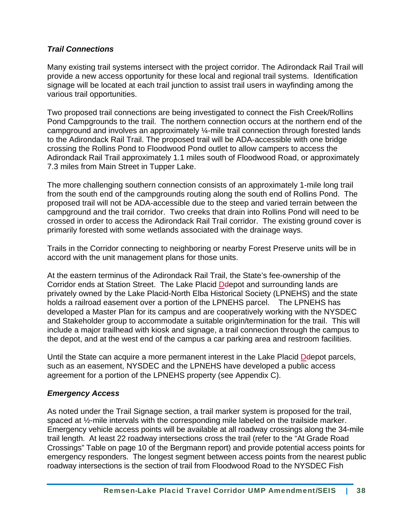#### *Trail Connections*

Many existing trail systems intersect with the project corridor. The Adirondack Rail Trail will provide a new access opportunity for these local and regional trail systems. Identification signage will be located at each trail junction to assist trail users in wayfinding among the various trail opportunities.

Two proposed trail connections are being investigated to connect the Fish Creek/Rollins Pond Campgrounds to the trail. The northern connection occurs at the northern end of the campground and involves an approximately ¼-mile trail connection through forested lands to the Adirondack Rail Trail. The proposed trail will be ADA-accessible with one bridge crossing the Rollins Pond to Floodwood Pond outlet to allow campers to access the Adirondack Rail Trail approximately 1.1 miles south of Floodwood Road, or approximately 7.3 miles from Main Street in Tupper Lake.

The more challenging southern connection consists of an approximately 1-mile long trail from the south end of the campgrounds routing along the south end of Rollins Pond. The proposed trail will not be ADA-accessible due to the steep and varied terrain between the campground and the trail corridor. Two creeks that drain into Rollins Pond will need to be crossed in order to access the Adirondack Rail Trail corridor. The existing ground cover is primarily forested with some wetlands associated with the drainage ways.

Trails in the Corridor connecting to neighboring or nearby Forest Preserve units will be in accord with the unit management plans for those units.

At the eastern terminus of the Adirondack Rail Trail, the State's fee-ownership of the Corridor ends at Station Street. The Lake Placid Delepot and surrounding lands are privately owned by the Lake Placid-North Elba Historical Society (LPNEHS) and the state holds a railroad easement over a portion of the LPNEHS parcel. The LPNEHS has developed a Master Plan for its campus and are cooperatively working with the NYSDEC and Stakeholder group to accommodate a suitable origin/termination for the trail. This will include a major trailhead with kiosk and signage, a trail connection through the campus to the depot, and at the west end of the campus a car parking area and restroom facilities.

Until the State can acquire a more permanent interest in the Lake Placid Delepot parcels, such as an easement, NYSDEC and the LPNEHS have developed a public access agreement for a portion of the LPNEHS property (see Appendix C).

#### *Emergency Access*

As noted under the Trail Signage section, a trail marker system is proposed for the trail, spaced at 1/2-mile intervals with the corresponding mile labeled on the trailside marker. Emergency vehicle access points will be available at all roadway crossings along the 34-mile trail length. At least 22 roadway intersections cross the trail (refer to the "At Grade Road Crossings" Table on page 10 of the Bergmann report) and provide potential access points for emergency responders. The longest segment between access points from the nearest public roadway intersections is the section of trail from Floodwood Road to the NYSDEC Fish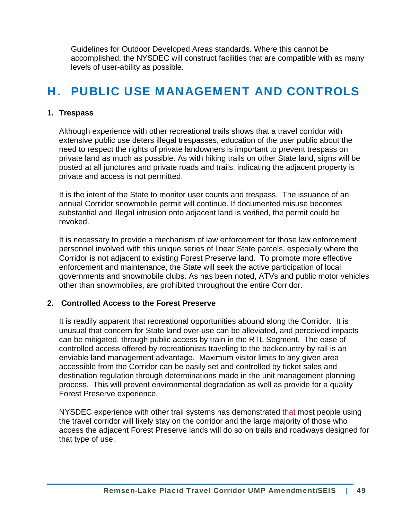Guidelines for Outdoor Developed Areas standards. Where this cannot be accomplished, the NYSDEC will construct facilities that are compatible with as many levels of user-ability as possible.

### H. PUBLIC USE MANAGEMENT AND CONTROLS

#### **1. Trespass**

Although experience with other recreational trails shows that a travel corridor with extensive public use deters illegal trespasses, education of the user public about the need to respect the rights of private landowners is important to prevent trespass on private land as much as possible. As with hiking trails on other State land, signs will be posted at all junctures and private roads and trails, indicating the adjacent property is private and access is not permitted.

It is the intent of the State to monitor user counts and trespass. The issuance of an annual Corridor snowmobile permit will continue. If documented misuse becomes substantial and illegal intrusion onto adjacent land is verified, the permit could be revoked.

It is necessary to provide a mechanism of law enforcement for those law enforcement personnel involved with this unique series of linear State parcels, especially where the Corridor is not adjacent to existing Forest Preserve land. To promote more effective enforcement and maintenance, the State will seek the active participation of local governments and snowmobile clubs. As has been noted, ATVs and public motor vehicles other than snowmobiles, are prohibited throughout the entire Corridor.

#### **2. Controlled Access to the Forest Preserve**

It is readily apparent that recreational opportunities abound along the Corridor. It is unusual that concern for State land over-use can be alleviated, and perceived impacts can be mitigated, through public access by train in the RTL Segment. The ease of controlled access offered by recreationists traveling to the backcountry by rail is an enviable land management advantage. Maximum visitor limits to any given area accessible from the Corridor can be easily set and controlled by ticket sales and destination regulation through determinations made in the unit management planning process. This will prevent environmental degradation as well as provide for a quality Forest Preserve experience.

NYSDEC experience with other trail systems has demonstrated that most people using the travel corridor will likely stay on the corridor and the large majority of those who access the adjacent Forest Preserve lands will do so on trails and roadways designed for that type of use.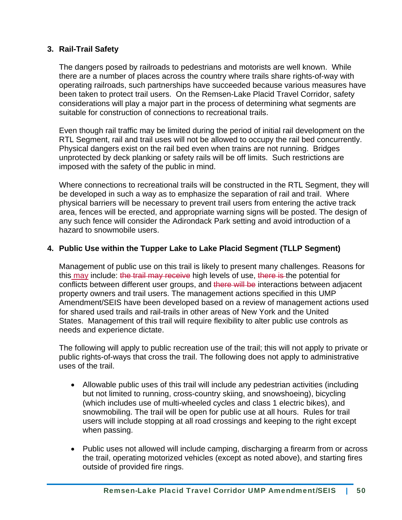#### **3. Rail-Trail Safety**

The dangers posed by railroads to pedestrians and motorists are well known. While there are a number of places across the country where trails share rights-of-way with operating railroads, such partnerships have succeeded because various measures have been taken to protect trail users. On the Remsen-Lake Placid Travel Corridor, safety considerations will play a major part in the process of determining what segments are suitable for construction of connections to recreational trails.

Even though rail traffic may be limited during the period of initial rail development on the RTL Segment, rail and trail uses will not be allowed to occupy the rail bed concurrently. Physical dangers exist on the rail bed even when trains are not running. Bridges unprotected by deck planking or safety rails will be off limits. Such restrictions are imposed with the safety of the public in mind.

Where connections to recreational trails will be constructed in the RTL Segment, they will be developed in such a way as to emphasize the separation of rail and trail. Where physical barriers will be necessary to prevent trail users from entering the active track area, fences will be erected, and appropriate warning signs will be posted. The design of any such fence will consider the Adirondack Park setting and avoid introduction of a hazard to snowmobile users.

#### **4. Public Use within the Tupper Lake to Lake Placid Segment (TLLP Segment)**

Management of public use on this trail is likely to present many challenges. Reasons for this may include: the trail may receive high levels of use, there is the potential for conflicts between different user groups, and there will be interactions between adjacent property owners and trail users. The management actions specified in this UMP Amendment/SEIS have been developed based on a review of management actions used for shared used trails and rail-trails in other areas of New York and the United States. Management of this trail will require flexibility to alter public use controls as needs and experience dictate.

The following will apply to public recreation use of the trail; this will not apply to private or public rights-of-ways that cross the trail. The following does not apply to administrative uses of the trail.

- Allowable public uses of this trail will include any pedestrian activities (including but not limited to running, cross-country skiing, and snowshoeing), bicycling (which includes use of multi-wheeled cycles and class 1 electric bikes), and snowmobiling. The trail will be open for public use at all hours. Rules for trail users will include stopping at all road crossings and keeping to the right except when passing.
- Public uses not allowed will include camping, discharging a firearm from or across the trail, operating motorized vehicles (except as noted above), and starting fires outside of provided fire rings.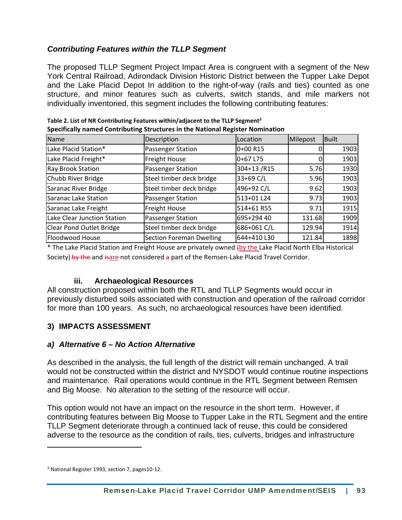#### *Contributing Features within the TLLP Segment*

The proposed TLLP Segment Project Impact Area is congruent with a segment of the New York Central Railroad, Adirondack Division Historic District between the Tupper Lake Depot and the Lake Placid Depot In addition to the right-of-way (rails and ties) counted as one structure, and minor features such as culverts, switch stands, and mile markers not individually inventoried, this segment includes the following contributing features:

| <b>Name</b>                 | Description                     | Location    | Milepost | Built |
|-----------------------------|---------------------------------|-------------|----------|-------|
| Lake Placid Station*        | Passenger Station               | 0+00 R15    |          | 1903  |
| Lake Placid Freight*        | <b>Freight House</b>            | 0+67 L75    |          | 1903  |
| <b>Ray Brook Station</b>    | Passenger Station               | 304+13/R15  | 5.76     | 1930  |
| Chubb River Bridge          | Steel timber deck bridge        | 33+69 C/L   | 5.96     | 1903  |
| Saranac River Bridge        | Steel timber deck bridge        | 496+92 C/L  | 9.62     | 1903  |
| Saranac Lake Station        | Passenger Station               | 513+01 L24  | 9.73     | 1903  |
| Saranac Lake Freight        | <b>Freight House</b>            | 514+61 R55  | 9.71     | 1915  |
| Lake Clear Junction Station | Passenger Station               | 695+294 40  | 131.68   | 1909  |
| Clear Pond Outlet Bridge    | Steel timber deck bridge        | 686+061 C/L | 129.94   | 1914  |
| Floodwood House             | <b>Section Foreman Dwelling</b> | 644+410 L30 | 121.84   | 1898  |

| Table 2. List of NR Contributing Features within/adjacent to the TLLP Segment <sup>3</sup> |
|--------------------------------------------------------------------------------------------|
| Specifically named Contributing Structures in the National Register Nomination             |

\* The Lake Placid Station and Freight House are privately owned (by the Lake Placid North Elba Historical Society) by the and isare not considered a part of the Remsen-Lake Placid Travel Corridor.

#### **iii. Archaeological Resources**

All construction proposed within both the RTL and TLLP Segments would occur in previously disturbed soils associated with construction and operation of the railroad corridor for more than 100 years. As such, no archaeological resources have been identified.

#### **3) IMPACTS ASSESSMENT**

#### *a) Alternative 6 – No Action Alternative*

As described in the analysis, the full length of the district will remain unchanged. A trail would not be constructed within the district and NYSDOT would continue routine inspections and maintenance. Rail operations would continue in the RTL Segment between Remsen and Big Moose. No alteration to the setting of the resource will occur.

This option would not have an impact on the resource in the short term. However, if contributing features between Big Moose to Tupper Lake in the RTL Segment and the entire TLLP Segment deteriorate through a continued lack of reuse, this could be considered adverse to the resource as the condition of rails, ties, culverts, bridges and infrastructure

<sup>3</sup> National Register 1993, section 7, pages10‐12.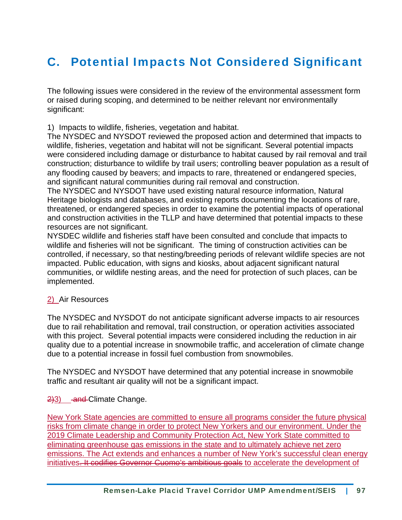### C. Potential Impacts Not Considered Significant

The following issues were considered in the review of the environmental assessment form or raised during scoping, and determined to be neither relevant nor environmentally significant:

1) Impacts to wildlife, fisheries, vegetation and habitat.

The NYSDEC and NYSDOT reviewed the proposed action and determined that impacts to wildlife, fisheries, vegetation and habitat will not be significant. Several potential impacts were considered including damage or disturbance to habitat caused by rail removal and trail construction; disturbance to wildlife by trail users; controlling beaver population as a result of any flooding caused by beavers; and impacts to rare, threatened or endangered species, and significant natural communities during rail removal and construction.

The NYSDEC and NYSDOT have used existing natural resource information, Natural Heritage biologists and databases, and existing reports documenting the locations of rare, threatened, or endangered species in order to examine the potential impacts of operational and construction activities in the TLLP and have determined that potential impacts to these resources are not significant.

NYSDEC wildlife and fisheries staff have been consulted and conclude that impacts to wildlife and fisheries will not be significant. The timing of construction activities can be controlled, if necessary, so that nesting/breeding periods of relevant wildlife species are not impacted. Public education, with signs and kiosks, about adjacent significant natural communities, or wildlife nesting areas, and the need for protection of such places, can be implemented.

#### 2) Air Resources

The NYSDEC and NYSDOT do not anticipate significant adverse impacts to air resources due to rail rehabilitation and removal, trail construction, or operation activities associated with this project. Several potential impacts were considered including the reduction in air quality due to a potential increase in snowmobile traffic, and acceleration of climate change due to a potential increase in fossil fuel combustion from snowmobiles.

The NYSDEC and NYSDOT have determined that any potential increase in snowmobile traffic and resultant air quality will not be a significant impact.

 $2|3|$  and Climate Change.

New York State agencies are committed to ensure all programs consider the future physical risks from climate change in order to protect New Yorkers and our environment. Under the 2019 Climate Leadership and Community Protection Act, New York State committed to eliminating greenhouse gas emissions in the state and to ultimately achieve net zero emissions. The Act extends and enhances a number of New York's successful clean energy initiatives. It codifies Governor Cuomo's ambitious goals to accelerate the development of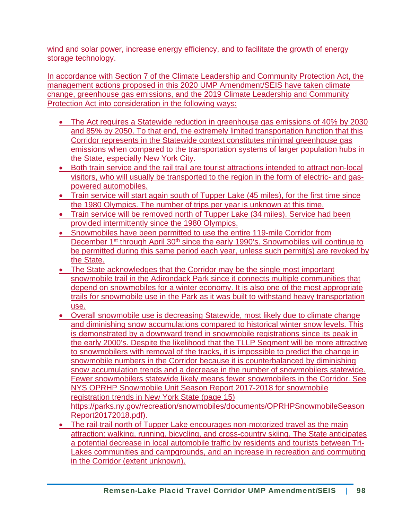wind and solar power, increase energy efficiency, and to facilitate the growth of energy storage technology.

In accordance with Section 7 of the Climate Leadership and Community Protection Act, the management actions proposed in this 2020 UMP Amendment/SEIS have taken climate change, greenhouse gas emissions, and the 2019 Climate Leadership and Community Protection Act into consideration in the following ways:

- The Act requires a Statewide reduction in greenhouse gas emissions of 40% by 2030 and 85% by 2050. To that end, the extremely limited transportation function that this Corridor represents in the Statewide context constitutes minimal greenhouse gas emissions when compared to the transportation systems of larger population hubs in the State, especially New York City.
- Both train service and the rail trail are tourist attractions intended to attract non-local visitors, who will usually be transported to the region in the form of electric- and gaspowered automobiles.
- Train service will start again south of Tupper Lake (45 miles), for the first time since the 1980 Olympics. The number of trips per year is unknown at this time.
- Train service will be removed north of Tupper Lake (34 miles). Service had been provided intermittently since the 1980 Olympics.
- Snowmobiles have been permitted to use the entire 119-mile Corridor from December 1<sup>st</sup> through April 30<sup>th</sup> since the early 1990's. Snowmobiles will continue to be permitted during this same period each year, unless such permit(s) are revoked by the State.
- The State acknowledges that the Corridor may be the single most important snowmobile trail in the Adirondack Park since it connects multiple communities that depend on snowmobiles for a winter economy. It is also one of the most appropriate trails for snowmobile use in the Park as it was built to withstand heavy transportation use.
- Overall snowmobile use is decreasing Statewide, most likely due to climate change and diminishing snow accumulations compared to historical winter snow levels. This is demonstrated by a downward trend in snowmobile registrations since its peak in the early 2000's. Despite the likelihood that the TLLP Segment will be more attractive to snowmobilers with removal of the tracks, it is impossible to predict the change in snowmobile numbers in the Corridor because it is counterbalanced by diminishing snow accumulation trends and a decrease in the number of snowmobilers statewide. Fewer snowmobilers statewide likely means fewer snowmobilers in the Corridor. See NYS OPRHP Snowmobile Unit Season Report 2017-2018 for snowmobile registration trends in New York State (page 15) https://parks.ny.gov/recreation/snowmobiles/documents/OPRHPSnowmobileSeason Report20172018.pdf).
- The rail-trail north of Tupper Lake encourages non-motorized travel as the main attraction: walking, running, bicycling, and cross-country skiing. The State anticipates a potential decrease in local automobile traffic by residents and tourists between Tri-Lakes communities and campgrounds, and an increase in recreation and commuting in the Corridor (extent unknown).